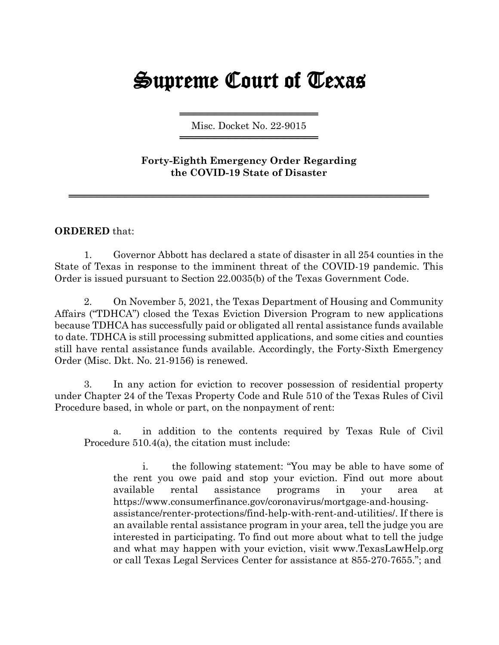## Supreme Court of Texas

═════════════════════════════════════ Misc. Docket No. 22-9015 ═════════════════════════════════════

**Forty-Eighth Emergency Order Regarding the COVID-19 State of Disaster**

════════════════════════════════════════════════════

## **ORDERED** that:

1. Governor Abbott has declared a state of disaster in all 254 counties in the State of Texas in response to the imminent threat of the COVID-19 pandemic. This Order is issued pursuant to Section 22.0035(b) of the Texas Government Code.

2. On November 5, 2021, the Texas Department of Housing and Community Affairs ("TDHCA") closed the Texas Eviction Diversion Program to new applications because TDHCA has successfully paid or obligated all rental assistance funds available to date. TDHCA is still processing submitted applications, and some cities and counties still have rental assistance funds available. Accordingly, the Forty-Sixth Emergency Order (Misc. Dkt. No. 21-9156) is renewed.

3. In any action for eviction to recover possession of residential property under Chapter 24 of the Texas Property Code and Rule 510 of the Texas Rules of Civil Procedure based, in whole or part, on the nonpayment of rent:

a. in addition to the contents required by Texas Rule of Civil Procedure 510.4(a), the citation must include:

i. the following statement: "You may be able to have some of the rent you owe paid and stop your eviction. Find out more about available rental assistance programs in your area at https://www.consumerfinance.gov/coronavirus/mortgage-and-housingassistance/renter-protections/find-help-with-rent-and-utilities/. If there is an available rental assistance program in your area, tell the judge you are interested in participating. To find out more about what to tell the judge and what may happen with your eviction, visit [www.TexasLawHelp.org](http://www.texaslawhelp.org/) or call Texas Legal Services Center for assistance at 855-270-7655."; and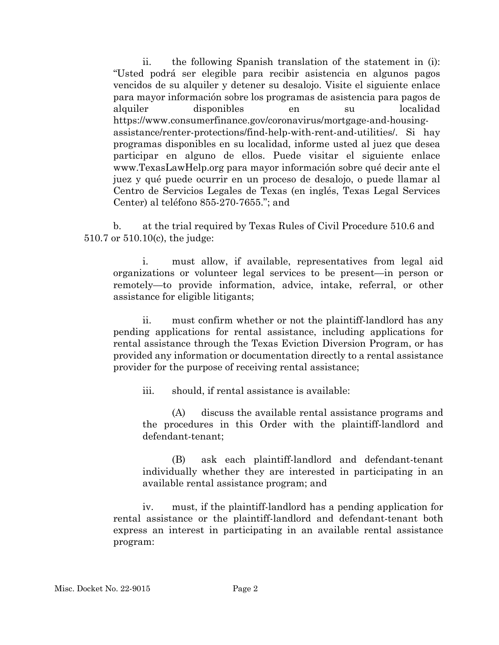ii. the following Spanish translation of the statement in (i): "Usted podrá ser elegible para recibir asistencia en algunos pagos vencidos de su alquiler y detener su desalojo. Visite el siguiente enlace para mayor información sobre los programas de asistencia para pagos de alquiler disponibles en su localidad https://www.consumerfinance.gov/coronavirus/mortgage-and-housingassistance/renter-protections/find-help-with-rent-and-utilities/. Si hay programas disponibles en su localidad, informe usted al juez que desea participar en alguno de ellos. Puede visitar el siguiente enlace www.TexasLawHelp.org para mayor información sobre qué decir ante el juez y qué puede ocurrir en un proceso de desalojo, o puede llamar al Centro de Servicios Legales de Texas (en inglés, Texas Legal Services Center) al teléfono 855-270-7655."; and

b. at the trial required by Texas Rules of Civil Procedure 510.6 and 510.7 or 510.10(c), the judge:

i. must allow, if available, representatives from legal aid organizations or volunteer legal services to be present—in person or remotely—to provide information, advice, intake, referral, or other assistance for eligible litigants;

ii. must confirm whether or not the plaintiff-landlord has any pending applications for rental assistance, including applications for rental assistance through the Texas Eviction Diversion Program, or has provided any information or documentation directly to a rental assistance provider for the purpose of receiving rental assistance;

iii. should, if rental assistance is available:

(A) discuss the available rental assistance programs and the procedures in this Order with the plaintiff-landlord and defendant-tenant;

(B) ask each plaintiff-landlord and defendant-tenant individually whether they are interested in participating in an available rental assistance program; and

iv. must, if the plaintiff-landlord has a pending application for rental assistance or the plaintiff-landlord and defendant-tenant both express an interest in participating in an available rental assistance program: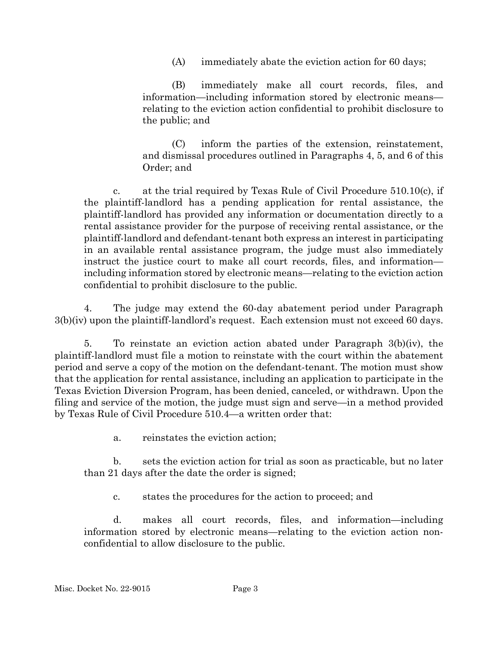(A) immediately abate the eviction action for 60 days;

(B) immediately make all court records, files, and information—including information stored by electronic means relating to the eviction action confidential to prohibit disclosure to the public; and

(C) inform the parties of the extension, reinstatement, and dismissal procedures outlined in Paragraphs 4, 5, and 6 of this Order; and

c. at the trial required by Texas Rule of Civil Procedure  $510.10(c)$ , if the plaintiff-landlord has a pending application for rental assistance, the plaintiff-landlord has provided any information or documentation directly to a rental assistance provider for the purpose of receiving rental assistance, or the plaintiff-landlord and defendant-tenant both express an interest in participating in an available rental assistance program, the judge must also immediately instruct the justice court to make all court records, files, and information including information stored by electronic means—relating to the eviction action confidential to prohibit disclosure to the public.

4. The judge may extend the 60-day abatement period under Paragraph 3(b)(iv) upon the plaintiff-landlord's request. Each extension must not exceed 60 days.

5. To reinstate an eviction action abated under Paragraph 3(b)(iv), the plaintiff-landlord must file a motion to reinstate with the court within the abatement period and serve a copy of the motion on the defendant-tenant. The motion must show that the application for rental assistance, including an application to participate in the Texas Eviction Diversion Program, has been denied, canceled, or withdrawn. Upon the filing and service of the motion, the judge must sign and serve—in a method provided by Texas Rule of Civil Procedure 510.4—a written order that:

a. reinstates the eviction action;

b. sets the eviction action for trial as soon as practicable, but no later than 21 days after the date the order is signed;

c. states the procedures for the action to proceed; and

d. makes all court records, files, and information—including information stored by electronic means—relating to the eviction action nonconfidential to allow disclosure to the public.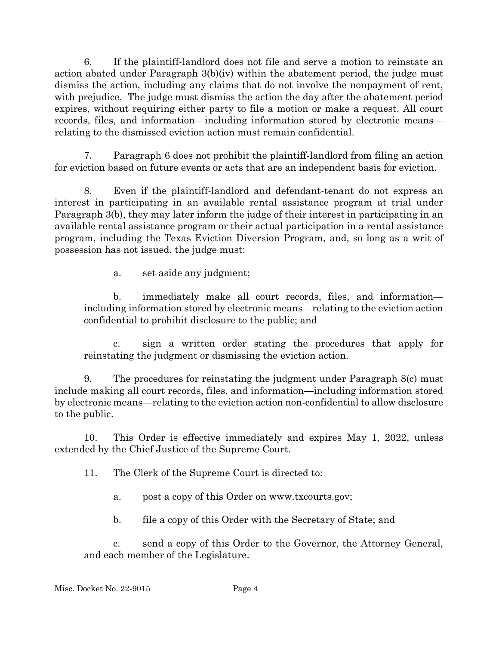6. If the plaintiff-landlord does not file and serve a motion to reinstate an action abated under Paragraph 3(b)(iv) within the abatement period, the judge must dismiss the action, including any claims that do not involve the nonpayment of rent, with prejudice. The judge must dismiss the action the day after the abatement period expires, without requiring either party to file a motion or make a request. All court records, files, and information—including information stored by electronic means relating to the dismissed eviction action must remain confidential.

7. Paragraph 6 does not prohibit the plaintiff-landlord from filing an action for eviction based on future events or acts that are an independent basis for eviction.

8. Even if the plaintiff-landlord and defendant-tenant do not express an interest in participating in an available rental assistance program at trial under Paragraph 3(b), they may later inform the judge of their interest in participating in an available rental assistance program or their actual participation in a rental assistance program, including the Texas Eviction Diversion Program, and, so long as a writ of possession has not issued, the judge must:

a. set aside any judgment;

b. immediately make all court records, files, and information including information stored by electronic means—relating to the eviction action confidential to prohibit disclosure to the public; and

c. sign a written order stating the procedures that apply for reinstating the judgment or dismissing the eviction action.

9. The procedures for reinstating the judgment under Paragraph 8(c) must include making all court records, files, and information—including information stored by electronic means—relating to the eviction action non-confidential to allow disclosure to the public.

10. This Order is effective immediately and expires May 1, 2022, unless extended by the Chief Justice of the Supreme Court.

11. The Clerk of the Supreme Court is directed to:

- a. post a copy of this Order on www.txcourts.gov;
- b. file a copy of this Order with the Secretary of State; and

c. send a copy of this Order to the Governor, the Attorney General, and each member of the Legislature.